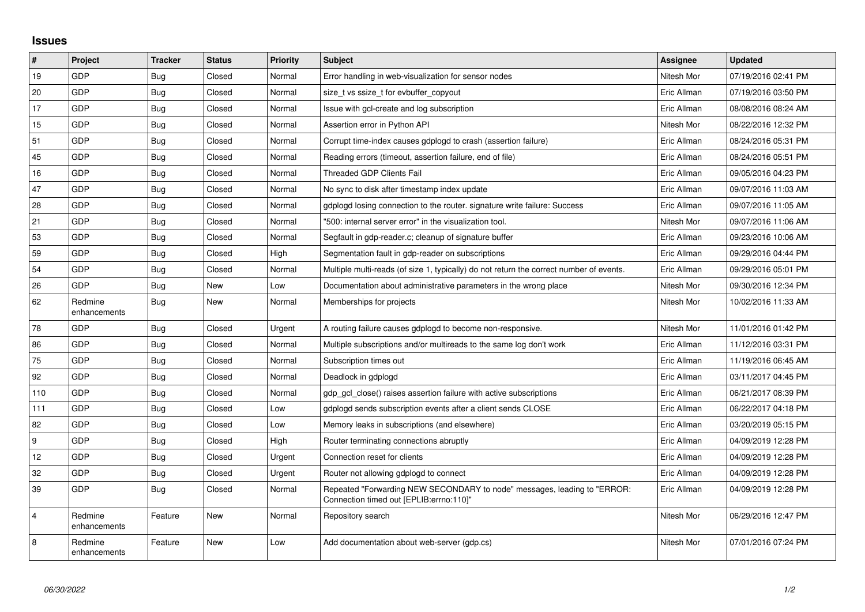## **Issues**

| $\vert$ #      | Project                 | <b>Tracker</b> | <b>Status</b> | Priority | <b>Subject</b>                                                                                                      | <b>Assignee</b> | <b>Updated</b>      |
|----------------|-------------------------|----------------|---------------|----------|---------------------------------------------------------------------------------------------------------------------|-----------------|---------------------|
| 19             | GDP                     | Bug            | Closed        | Normal   | Error handling in web-visualization for sensor nodes                                                                | Nitesh Mor      | 07/19/2016 02:41 PM |
| 20             | GDP                     | Bug            | Closed        | Normal   | size t vs ssize t for evbuffer copyout                                                                              | Eric Allman     | 07/19/2016 03:50 PM |
| 17             | GDP                     | Bug            | Closed        | Normal   | Issue with gcl-create and log subscription                                                                          | Eric Allman     | 08/08/2016 08:24 AM |
| 15             | GDP                     | <b>Bug</b>     | Closed        | Normal   | Assertion error in Python API                                                                                       | Nitesh Mor      | 08/22/2016 12:32 PM |
| 51             | GDP                     | Bug            | Closed        | Normal   | Corrupt time-index causes gdplogd to crash (assertion failure)                                                      | Eric Allman     | 08/24/2016 05:31 PM |
| 45             | GDP                     | <b>Bug</b>     | Closed        | Normal   | Reading errors (timeout, assertion failure, end of file)                                                            | Eric Allman     | 08/24/2016 05:51 PM |
| 16             | GDP                     | Bug            | Closed        | Normal   | Threaded GDP Clients Fail                                                                                           | Eric Allman     | 09/05/2016 04:23 PM |
| 47             | GDP                     | Bug            | Closed        | Normal   | No sync to disk after timestamp index update                                                                        | Eric Allman     | 09/07/2016 11:03 AM |
| 28             | GDP                     | <b>Bug</b>     | Closed        | Normal   | gdplogd losing connection to the router. signature write failure: Success                                           | Eric Allman     | 09/07/2016 11:05 AM |
| 21             | GDP                     | <b>Bug</b>     | Closed        | Normal   | '500: internal server error" in the visualization tool.                                                             | Nitesh Mor      | 09/07/2016 11:06 AM |
| 53             | GDP                     | <b>Bug</b>     | Closed        | Normal   | Segfault in gdp-reader.c; cleanup of signature buffer                                                               | Eric Allman     | 09/23/2016 10:06 AM |
| 59             | GDP                     | <b>Bug</b>     | Closed        | High     | Segmentation fault in gdp-reader on subscriptions                                                                   | Eric Allman     | 09/29/2016 04:44 PM |
| 54             | <b>GDP</b>              | Bug            | Closed        | Normal   | Multiple multi-reads (of size 1, typically) do not return the correct number of events.                             | Eric Allman     | 09/29/2016 05:01 PM |
| 26             | GDP                     | Bug            | New           | Low      | Documentation about administrative parameters in the wrong place                                                    | Nitesh Mor      | 09/30/2016 12:34 PM |
| 62             | Redmine<br>enhancements | Bug            | New           | Normal   | Memberships for projects                                                                                            | Nitesh Mor      | 10/02/2016 11:33 AM |
| 78             | GDP                     | <b>Bug</b>     | Closed        | Urgent   | A routing failure causes gdplogd to become non-responsive.                                                          | Nitesh Mor      | 11/01/2016 01:42 PM |
| 86             | <b>GDP</b>              | Bug            | Closed        | Normal   | Multiple subscriptions and/or multireads to the same log don't work                                                 | Eric Allman     | 11/12/2016 03:31 PM |
| 75             | GDP                     | <b>Bug</b>     | Closed        | Normal   | Subscription times out                                                                                              | Eric Allman     | 11/19/2016 06:45 AM |
| 92             | GDP                     | <b>Bug</b>     | Closed        | Normal   | Deadlock in gdplogd                                                                                                 | Eric Allman     | 03/11/2017 04:45 PM |
| 110            | GDP                     | <b>Bug</b>     | Closed        | Normal   | gdp gcl close() raises assertion failure with active subscriptions                                                  | Eric Allman     | 06/21/2017 08:39 PM |
| 111            | GDP                     | Bug            | Closed        | Low      | gdplogd sends subscription events after a client sends CLOSE                                                        | Eric Allman     | 06/22/2017 04:18 PM |
| 82             | GDP                     | <b>Bug</b>     | Closed        | Low      | Memory leaks in subscriptions (and elsewhere)                                                                       | Eric Allman     | 03/20/2019 05:15 PM |
| 9              | GDP                     | Bug            | Closed        | High     | Router terminating connections abruptly                                                                             | Eric Allman     | 04/09/2019 12:28 PM |
| 12             | GDP                     | <b>Bug</b>     | Closed        | Urgent   | Connection reset for clients                                                                                        | Eric Allman     | 04/09/2019 12:28 PM |
| 32             | GDP                     | Bug            | Closed        | Urgent   | Router not allowing gdplogd to connect                                                                              | Eric Allman     | 04/09/2019 12:28 PM |
| 39             | GDP                     | Bug            | Closed        | Normal   | Repeated "Forwarding NEW SECONDARY to node" messages, leading to "ERROR:<br>Connection timed out [EPLIB:errno:110]" | Eric Allman     | 04/09/2019 12:28 PM |
| $\overline{4}$ | Redmine<br>enhancements | Feature        | New           | Normal   | Repository search                                                                                                   | Nitesh Mor      | 06/29/2016 12:47 PM |
| 8              | Redmine<br>enhancements | Feature        | <b>New</b>    | Low      | Add documentation about web-server (gdp.cs)                                                                         | Nitesh Mor      | 07/01/2016 07:24 PM |